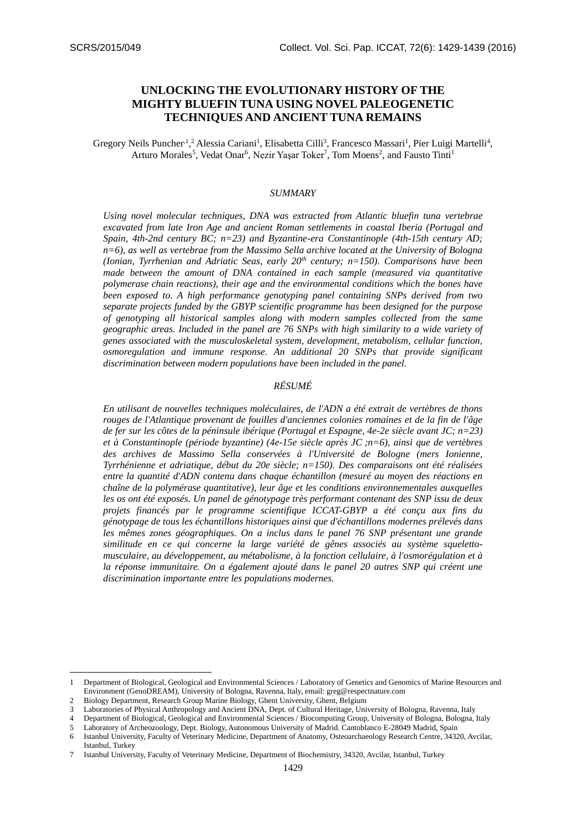# **UNLOCKING THE EVOLUTIONARY HISTORY OF THE MIGHTY BLUEFIN TUNA USING NOVEL PALEOGENETIC TECHNIQUES AND ANCIENT TUNA REMAINS**

Gregory Neils Puncher<sup>, 1</sup>,<sup>2</sup> Alessia Cariani<sup>1</sup>, Elisabetta Cilli<sup>3</sup>, Francesco Massari<sup>1</sup>, Pier Luigi Martelli<sup>4</sup>, Arturo Morales<sup>5</sup>, Vedat Onar<sup>6</sup>, Nezir Yaşar Toker<sup>7</sup>, Tom Moens<sup>2</sup>, and Fausto Tinti<sup>1</sup>

### *SUMMARY*

*Using novel molecular techniques, DNA was extracted from Atlantic bluefin tuna vertebrae excavated from late Iron Age and ancient Roman settlements in coastal Iberia (Portugal and Spain, 4th-2nd century BC; n=23) and Byzantine-era Constantinople (4th-15th century AD; n=6), as well as vertebrae from the Massimo Sella archive located at the University of Bologna (Ionian, Tyrrhenian and Adriatic Seas, early 20th century; n=150). Comparisons have been made between the amount of DNA contained in each sample (measured via quantitative polymerase chain reactions), their age and the environmental conditions which the bones have been exposed to. A high performance genotyping panel containing SNPs derived from two separate projects funded by the GBYP scientific programme has been designed for the purpose of genotyping all historical samples along with modern samples collected from the same geographic areas. Included in the panel are 76 SNPs with high similarity to a wide variety of genes associated with the musculoskeletal system, development, metabolism, cellular function, osmoregulation and immune response. An additional 20 SNPs that provide significant discrimination between modern populations have been included in the panel.*

## *RÉSUMÉ*

*En utilisant de nouvelles techniques moléculaires, de l'ADN a été extrait de vertèbres de thons rouges de l'Atlantique provenant de fouilles d'anciennes colonies romaines et de la fin de l'âge de fer sur les côtes de la péninsule ibérique (Portugal et Espagne, 4e-2e siècle avant JC; n=23) et à Constantinople (période byzantine) (4e-15e siècle après JC ;n=6), ainsi que de vertèbres des archives de Massimo Sella conservées à l'Université de Bologne (mers Ionienne, Tyrrhénienne et adriatique, début du 20e siècle; n=150). Des comparaisons ont été réalisées entre la quantité d'ADN contenu dans chaque échantillon (mesuré au moyen des réactions en chaîne de la polymérase quantitative), leur âge et les conditions environnementales auxquelles les os ont été exposés. Un panel de génotypage très performant contenant des SNP issu de deux projets financés par le programme scientifique ICCAT-GBYP a été conçu aux fins du génotypage de tous les échantillons historiques ainsi que d'échantillons modernes prélevés dans*  les mêmes zones géographiques. On a inclus dans le panel 76 SNP présentant une grande *similitude en ce qui concerne la large variété de gênes associés au système squelettomusculaire, au développement, au métabolisme, à la fonction cellulaire, à l'osmorégulation et à*  la réponse immunitaire. On a également ajouté dans le panel 20 autres SNP qui créent une *discrimination importante entre les populations modernes.*

<u>.</u>

<sup>1</sup> Department of Biological, Geological and Environmental Sciences / Laboratory of Genetics and Genomics of Marine Resources and Environment (GenoDREAM), University of Bologna, Ravenna, Italy, email: greg@respectnature.com

<sup>2</sup> Biology Department, Research Group Marine Biology, Ghent University, Ghent, Belgium

Laboratories of Physical Anthropology and Ancient DNA, Dept. of Cultural Heritage, University of Bologna, Ravenna, Italy

<sup>4</sup> Department of Biological, Geological and Environmental Sciences / Biocomputing Group, University of Bologna, Bologna, Italy 5 Laboratory of Archeozoology, Dept. Biology, Autonomous University of Madrid. Cantoblanco E-28049 Madrid, Spain

<sup>6</sup> Istanbul University, Faculty of Veterinary Medicine, Department of Anatomy, Osteoarchaeology Research Centre, 34320, Avcilar, Istanbul, Turkey

<sup>7</sup> Istanbul University, Faculty of Veterinary Medicine, Department of Biochemistry, 34320, Avcilar, Istanbul, Turkey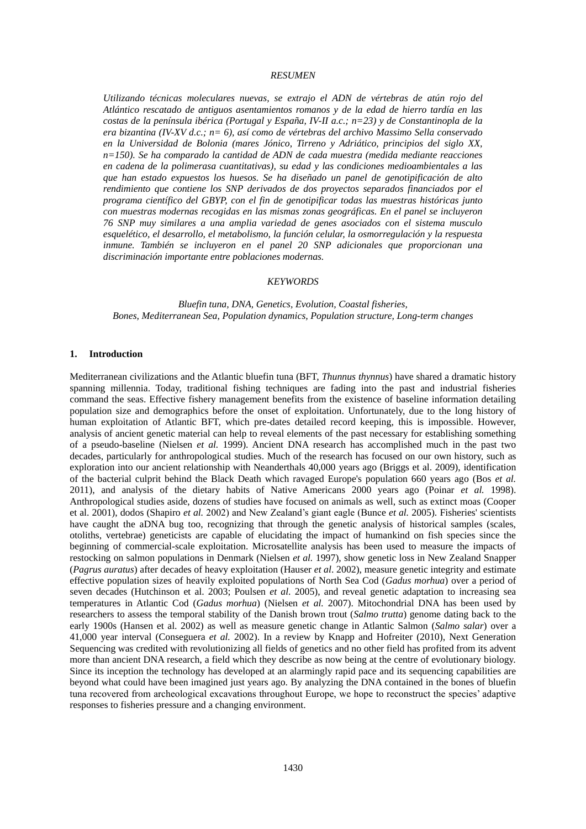### *RESUMEN*

*Utilizando técnicas moleculares nuevas, se extrajo el ADN de vértebras de atún rojo del Atlántico rescatado de antiguos asentamientos romanos y de la edad de hierro tardía en las costas de la península ibérica (Portugal y España, IV-II a.c.; n=23) y de Constantinopla de la era bizantina (IV-XV d.c.; n= 6), así como de vértebras del archivo Massimo Sella conservado en la Universidad de Bolonia (mares Jónico, Tirreno y Adriático, principios del siglo XX, n=150). Se ha comparado la cantidad de ADN de cada muestra (medida mediante reacciones en cadena de la polimerasa cuantitativas), su edad y las condiciones medioambientales a las que han estado expuestos los huesos. Se ha diseñado un panel de genotipificación de alto rendimiento que contiene los SNP derivados de dos proyectos separados financiados por el programa científico del GBYP, con el fin de genotipificar todas las muestras históricas junto con muestras modernas recogidas en las mismas zonas geográficas. En el panel se incluyeron 76 SNP muy similares a una amplia variedad de genes asociados con el sistema musculo esquelético, el desarrollo, el metabolismo, la función celular, la osmorregulación y la respuesta inmune. También se incluyeron en el panel 20 SNP adicionales que proporcionan una discriminación importante entre poblaciones modernas.*

#### *KEYWORDS*

*Bluefin tuna, DNA, Genetics, Evolution, Coastal fisheries, Bones, Mediterranean Sea, Population dynamics, Population structure, Long-term changes*

### **1. Introduction**

Mediterranean civilizations and the Atlantic bluefin tuna (BFT, *Thunnus thynnus*) have shared a dramatic history spanning millennia. Today, traditional fishing techniques are fading into the past and industrial fisheries command the seas. Effective fishery management benefits from the existence of baseline information detailing population size and demographics before the onset of exploitation. Unfortunately, due to the long history of human exploitation of Atlantic BFT, which pre-dates detailed record keeping, this is impossible. However, analysis of ancient genetic material can help to reveal elements of the past necessary for establishing something of a pseudo-baseline (Nielsen *et al.* 1999). Ancient DNA research has accomplished much in the past two decades, particularly for anthropological studies. Much of the research has focused on our own history, such as exploration into our ancient relationship with Neanderthals 40,000 years ago (Briggs et al. 2009), identification of the bacterial culprit behind the Black Death which ravaged Europe's population 660 years ago (Bos *et al.* 2011), and analysis of the dietary habits of Native Americans 2000 years ago (Poinar *et al.* 1998). Anthropological studies aside, dozens of studies have focused on animals as well, such as extinct moas (Cooper et al. 2001), dodos (Shapiro *et al.* 2002) and New Zealand's giant eagle (Bunce *et al.* 2005). Fisheries' scientists have caught the aDNA bug too, recognizing that through the genetic analysis of historical samples (scales, otoliths, vertebrae) geneticists are capable of elucidating the impact of humankind on fish species since the beginning of commercial-scale exploitation. Microsatellite analysis has been used to measure the impacts of restocking on salmon populations in Denmark (Nielsen *et al.* 1997), show genetic loss in New Zealand Snapper (*Pagrus auratus*) after decades of heavy exploitation (Hauser *et al*. 2002), measure genetic integrity and estimate effective population sizes of heavily exploited populations of North Sea Cod (*Gadus morhua*) over a period of seven decades (Hutchinson et al. 2003; Poulsen *et al*. 2005), and reveal genetic adaptation to increasing sea temperatures in Atlantic Cod (*Gadus morhua*) (Nielsen *et al.* 2007). Mitochondrial DNA has been used by researchers to assess the temporal stability of the Danish brown trout (*Salmo trutta*) genome dating back to the early 1900s (Hansen et al. 2002) as well as measure genetic change in Atlantic Salmon (*Salmo salar*) over a 41,000 year interval (Conseguera *et al.* 2002). In a review by Knapp and Hofreiter (2010), Next Generation Sequencing was credited with revolutionizing all fields of genetics and no other field has profited from its advent more than ancient DNA research, a field which they describe as now being at the centre of evolutionary biology. Since its inception the technology has developed at an alarmingly rapid pace and its sequencing capabilities are beyond what could have been imagined just years ago. By analyzing the DNA contained in the bones of bluefin tuna recovered from archeological excavations throughout Europe, we hope to reconstruct the species' adaptive responses to fisheries pressure and a changing environment.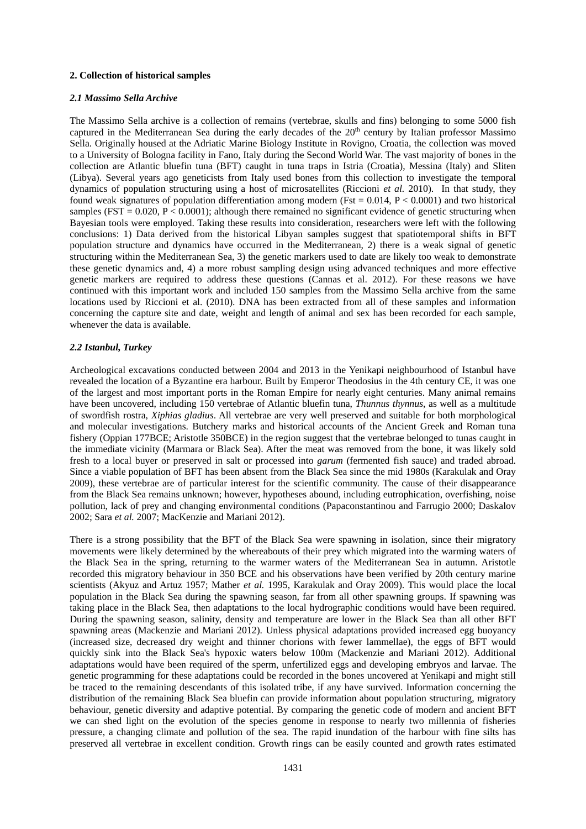### **2. Collection of historical samples**

### *2.1 Massimo Sella Archive*

The Massimo Sella archive is a collection of remains (vertebrae, skulls and fins) belonging to some 5000 fish captured in the Mediterranean Sea during the early decades of the 20<sup>th</sup> century by Italian professor Massimo Sella. Originally housed at the Adriatic Marine Biology Institute in Rovigno, Croatia, the collection was moved to a University of Bologna facility in Fano, Italy during the Second World War. The vast majority of bones in the collection are Atlantic bluefin tuna (BFT) caught in tuna traps in Istria (Croatia), Messina (Italy) and Sliten (Libya). Several years ago geneticists from Italy used bones from this collection to investigate the temporal dynamics of population structuring using a host of microsatellites (Riccioni *et al.* 2010). In that study, they found weak signatures of population differentiation among modern (Fst =  $0.014$ , P <  $0.0001$ ) and two historical samples (FST = 0.020, P < 0.0001); although there remained no significant evidence of genetic structuring when Bayesian tools were employed. Taking these results into consideration, researchers were left with the following conclusions: 1) Data derived from the historical Libyan samples suggest that spatiotemporal shifts in BFT population structure and dynamics have occurred in the Mediterranean, 2) there is a weak signal of genetic structuring within the Mediterranean Sea, 3) the genetic markers used to date are likely too weak to demonstrate these genetic dynamics and, 4) a more robust sampling design using advanced techniques and more effective genetic markers are required to address these questions (Cannas et al. 2012). For these reasons we have continued with this important work and included 150 samples from the Massimo Sella archive from the same locations used by Riccioni et al. (2010). DNA has been extracted from all of these samples and information concerning the capture site and date, weight and length of animal and sex has been recorded for each sample, whenever the data is available.

### *2.2 Istanbul, Turkey*

Archeological excavations conducted between 2004 and 2013 in the Yenikapi neighbourhood of Istanbul have revealed the location of a Byzantine era harbour. Built by Emperor Theodosius in the 4th century CE, it was one of the largest and most important ports in the Roman Empire for nearly eight centuries. Many animal remains have been uncovered, including 150 vertebrae of Atlantic bluefin tuna, *Thunnus thynnus*, as well as a multitude of swordfish rostra, *Xiphias gladius*. All vertebrae are very well preserved and suitable for both morphological and molecular investigations. Butchery marks and historical accounts of the Ancient Greek and Roman tuna fishery (Oppian 177BCE; Aristotle 350BCE) in the region suggest that the vertebrae belonged to tunas caught in the immediate vicinity (Marmara or Black Sea). After the meat was removed from the bone, it was likely sold fresh to a local buyer or preserved in salt or processed into *garum* (fermented fish sauce) and traded abroad. Since a viable population of BFT has been absent from the Black Sea since the mid 1980s (Karakulak and Oray 2009), these vertebrae are of particular interest for the scientific community. The cause of their disappearance from the Black Sea remains unknown; however, hypotheses abound, including eutrophication, overfishing, noise pollution, lack of prey and changing environmental conditions (Papaconstantinou and Farrugio 2000; Daskalov 2002; Sara *et al.* 2007; MacKenzie and Mariani 2012).

There is a strong possibility that the BFT of the Black Sea were spawning in isolation, since their migratory movements were likely determined by the whereabouts of their prey which migrated into the warming waters of the Black Sea in the spring, returning to the warmer waters of the Mediterranean Sea in autumn. Aristotle recorded this migratory behaviour in 350 BCE and his observations have been verified by 20th century marine scientists (Akyuz and Artuz 1957; Mather *et al.* 1995, Karakulak and Oray 2009). This would place the local population in the Black Sea during the spawning season, far from all other spawning groups. If spawning was taking place in the Black Sea, then adaptations to the local hydrographic conditions would have been required. During the spawning season, salinity, density and temperature are lower in the Black Sea than all other BFT spawning areas (Mackenzie and Mariani 2012). Unless physical adaptations provided increased egg buoyancy (increased size, decreased dry weight and thinner chorions with fewer lammellae), the eggs of BFT would quickly sink into the Black Sea's hypoxic waters below 100m (Mackenzie and Mariani 2012). Additional adaptations would have been required of the sperm, unfertilized eggs and developing embryos and larvae. The genetic programming for these adaptations could be recorded in the bones uncovered at Yenikapi and might still be traced to the remaining descendants of this isolated tribe, if any have survived. Information concerning the distribution of the remaining Black Sea bluefin can provide information about population structuring, migratory behaviour, genetic diversity and adaptive potential. By comparing the genetic code of modern and ancient BFT we can shed light on the evolution of the species genome in response to nearly two millennia of fisheries pressure, a changing climate and pollution of the sea. The rapid inundation of the harbour with fine silts has preserved all vertebrae in excellent condition. Growth rings can be easily counted and growth rates estimated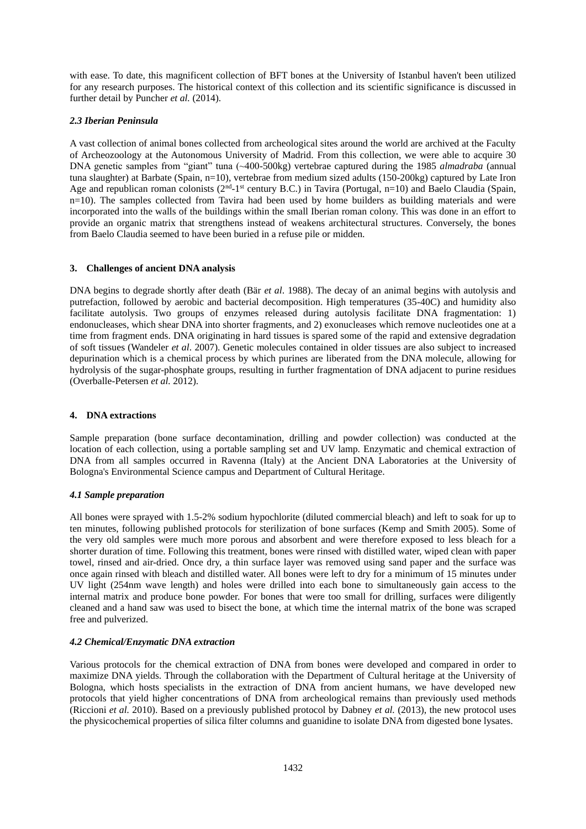with ease. To date, this magnificent collection of BFT bones at the University of Istanbul haven't been utilized for any research purposes. The historical context of this collection and its scientific significance is discussed in further detail by Puncher *et al.* (2014).

## *2.3 Iberian Peninsula*

A vast collection of animal bones collected from archeological sites around the world are archived at the Faculty of Archeozoology at the Autonomous University of Madrid. From this collection, we were able to acquire 30 DNA genetic samples from "giant" tuna (~400-500kg) vertebrae captured during the 1985 *almadraba* (annual tuna slaughter) at Barbate (Spain, n=10), vertebrae from medium sized adults (150-200kg) captured by Late Iron Age and republican roman colonists ( $2<sup>nd</sup> - 1<sup>st</sup>$  century B.C.) in Tavira (Portugal, n=10) and Baelo Claudia (Spain, n=10). The samples collected from Tavira had been used by home builders as building materials and were incorporated into the walls of the buildings within the small Iberian roman colony. This was done in an effort to provide an organic matrix that strengthens instead of weakens architectural structures. Conversely, the bones from Baelo Claudia seemed to have been buried in a refuse pile or midden.

## **3. Challenges of ancient DNA analysis**

DNA begins to degrade shortly after death (Bär *et al*. 1988). The decay of an animal begins with autolysis and putrefaction, followed by aerobic and bacterial decomposition. High temperatures (35-40C) and humidity also facilitate autolysis. Two groups of enzymes released during autolysis facilitate DNA fragmentation: 1) endonucleases, which shear DNA into shorter fragments, and 2) exonucleases which remove nucleotides one at a time from fragment ends. DNA originating in hard tissues is spared some of the rapid and extensive degradation of soft tissues (Wandeler *et al*. 2007). Genetic molecules contained in older tissues are also subject to increased depurination which is a chemical process by which purines are liberated from the DNA molecule, allowing for hydrolysis of the sugar-phosphate groups, resulting in further fragmentation of DNA adjacent to purine residues (Overballe-Petersen *et al.* 2012).

## **4. DNA extractions**

Sample preparation (bone surface decontamination, drilling and powder collection) was conducted at the location of each collection, using a portable sampling set and UV lamp. Enzymatic and chemical extraction of DNA from all samples occurred in Ravenna (Italy) at the Ancient DNA Laboratories at the University of Bologna's Environmental Science campus and Department of Cultural Heritage.

## *4.1 Sample preparation*

All bones were sprayed with 1.5-2% sodium hypochlorite (diluted commercial bleach) and left to soak for up to ten minutes, following published protocols for sterilization of bone surfaces (Kemp and Smith 2005). Some of the very old samples were much more porous and absorbent and were therefore exposed to less bleach for a shorter duration of time. Following this treatment, bones were rinsed with distilled water, wiped clean with paper towel, rinsed and air-dried. Once dry, a thin surface layer was removed using sand paper and the surface was once again rinsed with bleach and distilled water. All bones were left to dry for a minimum of 15 minutes under UV light (254nm wave length) and holes were drilled into each bone to simultaneously gain access to the internal matrix and produce bone powder. For bones that were too small for drilling, surfaces were diligently cleaned and a hand saw was used to bisect the bone, at which time the internal matrix of the bone was scraped free and pulverized.

## *4.2 Chemical/Enzymatic DNA extraction*

Various protocols for the chemical extraction of DNA from bones were developed and compared in order to maximize DNA yields. Through the collaboration with the Department of Cultural heritage at the University of Bologna, which hosts specialists in the extraction of DNA from ancient humans, we have developed new protocols that yield higher concentrations of DNA from archeological remains than previously used methods (Riccioni *et al.* 2010). Based on a previously published protocol by Dabney *et al.* (2013), the new protocol uses the physicochemical properties of silica filter columns and guanidine to isolate DNA from digested bone lysates.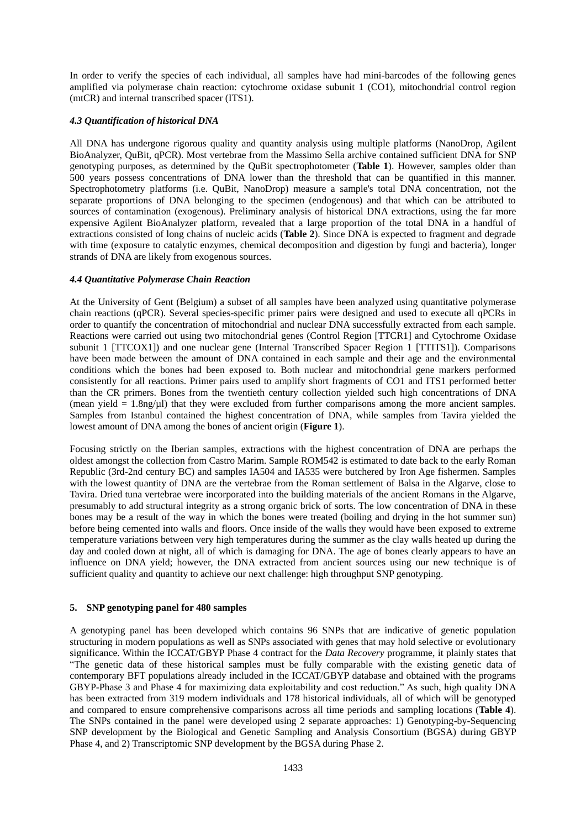In order to verify the species of each individual, all samples have had mini-barcodes of the following genes amplified via polymerase chain reaction: cytochrome oxidase subunit 1 (CO1), mitochondrial control region (mtCR) and internal transcribed spacer (ITS1).

## *4.3 Quantification of historical DNA*

All DNA has undergone rigorous quality and quantity analysis using multiple platforms (NanoDrop, Agilent BioAnalyzer, QuBit, qPCR). Most vertebrae from the Massimo Sella archive contained sufficient DNA for SNP genotyping purposes, as determined by the QuBit spectrophotometer (**Table 1**). However, samples older than 500 years possess concentrations of DNA lower than the threshold that can be quantified in this manner. Spectrophotometry platforms (i.e. QuBit, NanoDrop) measure a sample's total DNA concentration, not the separate proportions of DNA belonging to the specimen (endogenous) and that which can be attributed to sources of contamination (exogenous). Preliminary analysis of historical DNA extractions, using the far more expensive Agilent BioAnalyzer platform, revealed that a large proportion of the total DNA in a handful of extractions consisted of long chains of nucleic acids (**Table 2**). Since DNA is expected to fragment and degrade with time (exposure to catalytic enzymes, chemical decomposition and digestion by fungi and bacteria), longer strands of DNA are likely from exogenous sources.

### *4.4 Quantitative Polymerase Chain Reaction*

At the University of Gent (Belgium) a subset of all samples have been analyzed using quantitative polymerase chain reactions (qPCR). Several species-specific primer pairs were designed and used to execute all qPCRs in order to quantify the concentration of mitochondrial and nuclear DNA successfully extracted from each sample. Reactions were carried out using two mitochondrial genes (Control Region [TTCR1] and Cytochrome Oxidase subunit 1 [TTCOX1]) and one nuclear gene (Internal Transcribed Spacer Region 1 [TTITS1]). Comparisons have been made between the amount of DNA contained in each sample and their age and the environmental conditions which the bones had been exposed to. Both nuclear and mitochondrial gene markers performed consistently for all reactions. Primer pairs used to amplify short fragments of CO1 and ITS1 performed better than the CR primers. Bones from the twentieth century collection yielded such high concentrations of DNA (mean yield  $= 1.8$ ng/ $\mu$ l) that they were excluded from further comparisons among the more ancient samples. Samples from Istanbul contained the highest concentration of DNA, while samples from Tavira yielded the lowest amount of DNA among the bones of ancient origin (**Figure 1**).

Focusing strictly on the Iberian samples, extractions with the highest concentration of DNA are perhaps the oldest amongst the collection from Castro Marim. Sample ROM542 is estimated to date back to the early Roman Republic (3rd-2nd century BC) and samples IA504 and IA535 were butchered by Iron Age fishermen. Samples with the lowest quantity of DNA are the vertebrae from the Roman settlement of Balsa in the Algarve, close to Tavira. Dried tuna vertebrae were incorporated into the building materials of the ancient Romans in the Algarve, presumably to add structural integrity as a strong organic brick of sorts. The low concentration of DNA in these bones may be a result of the way in which the bones were treated (boiling and drying in the hot summer sun) before being cemented into walls and floors. Once inside of the walls they would have been exposed to extreme temperature variations between very high temperatures during the summer as the clay walls heated up during the day and cooled down at night, all of which is damaging for DNA. The age of bones clearly appears to have an influence on DNA yield; however, the DNA extracted from ancient sources using our new technique is of sufficient quality and quantity to achieve our next challenge: high throughput SNP genotyping.

### **5. SNP genotyping panel for 480 samples**

A genotyping panel has been developed which contains 96 SNPs that are indicative of genetic population structuring in modern populations as well as SNPs associated with genes that may hold selective or evolutionary significance. Within the ICCAT/GBYP Phase 4 contract for the *Data Recovery* programme, it plainly states that "The genetic data of these historical samples must be fully comparable with the existing genetic data of contemporary BFT populations already included in the ICCAT/GBYP database and obtained with the programs GBYP-Phase 3 and Phase 4 for maximizing data exploitability and cost reduction." As such, high quality DNA has been extracted from 319 modern individuals and 178 historical individuals, all of which will be genotyped and compared to ensure comprehensive comparisons across all time periods and sampling locations (**Table 4**). The SNPs contained in the panel were developed using 2 separate approaches: 1) Genotyping-by-Sequencing SNP development by the Biological and Genetic Sampling and Analysis Consortium (BGSA) during GBYP Phase 4, and 2) Transcriptomic SNP development by the BGSA during Phase 2.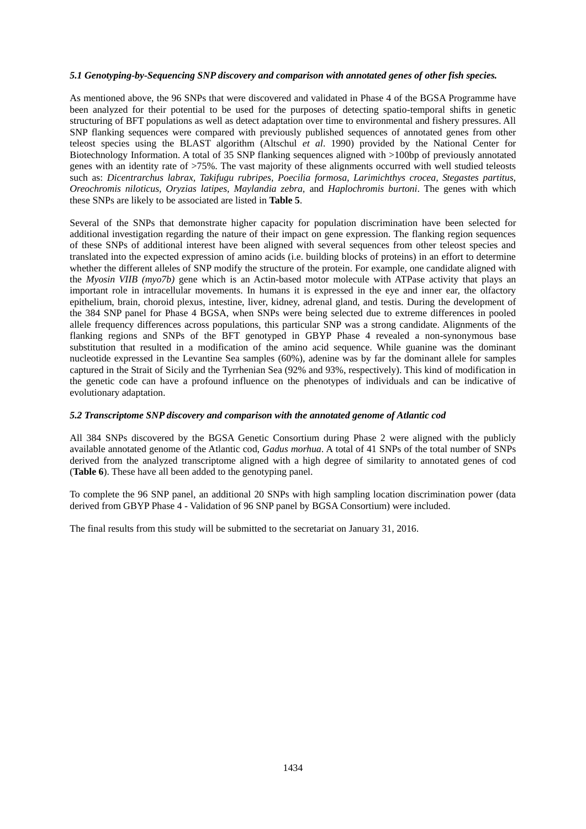## *5.1 Genotyping-by-Sequencing SNP discovery and comparison with annotated genes of other fish species.*

As mentioned above, the 96 SNPs that were discovered and validated in Phase 4 of the BGSA Programme have been analyzed for their potential to be used for the purposes of detecting spatio-temporal shifts in genetic structuring of BFT populations as well as detect adaptation over time to environmental and fishery pressures. All SNP flanking sequences were compared with previously published sequences of annotated genes from other teleost species using the BLAST algorithm (Altschul *et al*. 1990) provided by the National Center for Biotechnology Information. A total of 35 SNP flanking sequences aligned with >100bp of previously annotated genes with an identity rate of >75%. The vast majority of these alignments occurred with well studied teleosts such as: *Dicentrarchus labrax, Takifugu rubripes, Poecilia formosa, Larimichthys crocea, Stegastes partitus, Oreochromis niloticus, Oryzias latipes, Maylandia zebra,* and *Haplochromis burtoni*. The genes with which these SNPs are likely to be associated are listed in **Table 5**.

Several of the SNPs that demonstrate higher capacity for population discrimination have been selected for additional investigation regarding the nature of their impact on gene expression. The flanking region sequences of these SNPs of additional interest have been aligned with several sequences from other teleost species and translated into the expected expression of amino acids (i.e. building blocks of proteins) in an effort to determine whether the different alleles of SNP modify the structure of the protein. For example, one candidate aligned with the *Myosin VIIB (myo7b)* gene which is an Actin-based motor molecule with ATPase activity that plays an important role in intracellular movements. In humans it is expressed in the eye and inner ear, the olfactory epithelium, brain, choroid plexus, intestine, liver, kidney, adrenal gland, and testis. During the development of the 384 SNP panel for Phase 4 BGSA, when SNPs were being selected due to extreme differences in pooled allele frequency differences across populations, this particular SNP was a strong candidate. Alignments of the flanking regions and SNPs of the BFT genotyped in GBYP Phase 4 revealed a non-synonymous base substitution that resulted in a modification of the amino acid sequence. While guanine was the dominant nucleotide expressed in the Levantine Sea samples (60%), adenine was by far the dominant allele for samples captured in the Strait of Sicily and the Tyrrhenian Sea (92% and 93%, respectively). This kind of modification in the genetic code can have a profound influence on the phenotypes of individuals and can be indicative of evolutionary adaptation.

### *5.2 Transcriptome SNP discovery and comparison with the annotated genome of Atlantic cod*

All 384 SNPs discovered by the BGSA Genetic Consortium during Phase 2 were aligned with the publicly available annotated genome of the Atlantic cod, *Gadus morhua*. A total of 41 SNPs of the total number of SNPs derived from the analyzed transcriptome aligned with a high degree of similarity to annotated genes of cod (**Table 6**). These have all been added to the genotyping panel.

To complete the 96 SNP panel, an additional 20 SNPs with high sampling location discrimination power (data derived from GBYP Phase 4 - Validation of 96 SNP panel by BGSA Consortium) were included.

The final results from this study will be submitted to the secretariat on January 31, 2016.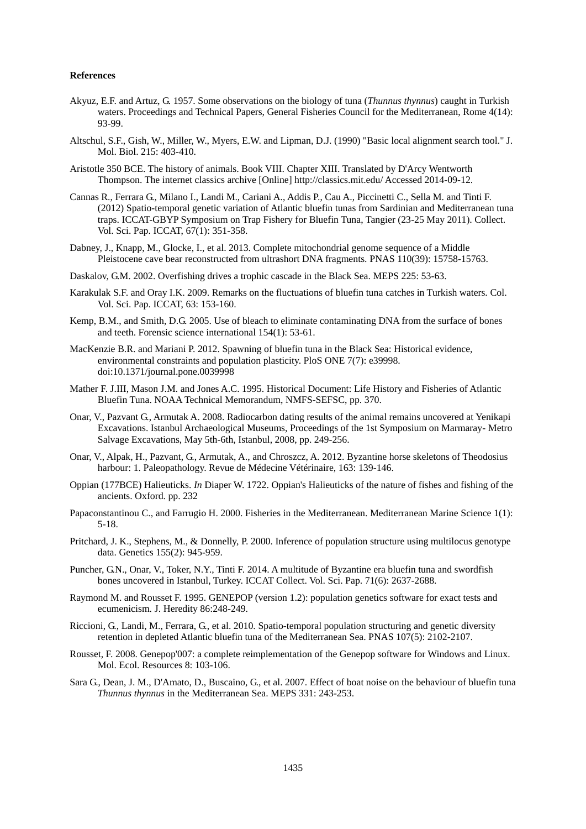### **References**

- Akyuz, E.F. and Artuz, G. 1957. Some observations on the biology of tuna (*Thunnus thynnus*) caught in Turkish waters. Proceedings and Technical Papers, General Fisheries Council for the Mediterranean, Rome 4(14): 93-99.
- Altschul, S.F., Gish, W., Miller, W., Myers, E.W. and Lipman, D.J. (1990) "Basic local alignment search tool." J. Mol. Biol. 215: 403-410.
- Aristotle 350 BCE. The history of animals. Book VIII. Chapter XIII. Translated by D'Arcy Wentworth Thompson. The internet classics archive [Online] http://classics.mit.edu/ Accessed 2014-09-12.
- Cannas R., Ferrara G., Milano I., Landi M., Cariani A., Addis P., Cau A., Piccinetti C., Sella M. and Tinti F. (2012) Spatio-temporal genetic variation of Atlantic bluefin tunas from Sardinian and Mediterranean tuna traps. ICCAT-GBYP Symposium on Trap Fishery for Bluefin Tuna, Tangier (23-25 May 2011). Collect. Vol. Sci. Pap. ICCAT, 67(1): 351-358.
- Dabney, J., Knapp, M., Glocke, I., et al. 2013. Complete mitochondrial genome sequence of a Middle Pleistocene cave bear reconstructed from ultrashort DNA fragments. PNAS 110(39): 15758-15763.
- Daskalov, G.M. 2002. Overfishing drives a trophic cascade in the Black Sea. MEPS 225: 53-63.
- Karakulak S.F. and Oray I.K. 2009. Remarks on the fluctuations of bluefin tuna catches in Turkish waters. Col. Vol. Sci. Pap. ICCAT, 63: 153-160.
- Kemp, B.M., and Smith, D.G. 2005. Use of bleach to eliminate contaminating DNA from the surface of bones and teeth. Forensic science international 154(1): 53-61.
- MacKenzie B.R. and Mariani P. 2012. Spawning of bluefin tuna in the Black Sea: Historical evidence, environmental constraints and population plasticity. PloS ONE 7(7): e39998. doi:10.1371/journal.pone.0039998
- Mather F. J.III, Mason J.M. and Jones A.C. 1995. Historical Document: Life History and Fisheries of Atlantic Bluefin Tuna. NOAA Technical Memorandum, NMFS-SEFSC, pp. 370.
- Onar, V., Pazvant G., Armutak A. 2008. Radiocarbon dating results of the animal remains uncovered at Yenikapi Excavations. Istanbul Archaeological Museums, Proceedings of the 1st Symposium on Marmaray- Metro Salvage Excavations, May 5th-6th, Istanbul, 2008, pp. 249-256.
- Onar, V., Alpak, H., Pazvant, G., Armutak, A., and Chroszcz, A. 2012. Byzantine horse skeletons of Theodosius harbour: 1. Paleopathology. Revue de Médecine Vétérinaire, 163: 139-146.
- Oppian (177BCE) Halieuticks. *In* Diaper W. 1722. Oppian's Halieuticks of the nature of fishes and fishing of the ancients. Oxford. pp. 232
- Papaconstantinou C., and Farrugio H. 2000. Fisheries in the Mediterranean. Mediterranean Marine Science 1(1): 5-18.
- Pritchard, J. K., Stephens, M., & Donnelly, P. 2000. Inference of population structure using multilocus genotype data. Genetics 155(2): 945-959.
- Puncher, G.N., Onar, V., Toker, N.Y., Tinti F. 2014. A multitude of Byzantine era bluefin tuna and swordfish bones uncovered in Istanbul, Turkey. ICCAT Collect. Vol. Sci. Pap. 71(6): 2637-2688.
- Raymond M. and Rousset F. 1995. GENEPOP (version 1.2): population genetics software for exact tests and ecumenicism. J. Heredity 86:248-249.
- Riccioni, G., Landi, M., Ferrara, G., et al. 2010. Spatio-temporal population structuring and genetic diversity retention in depleted Atlantic bluefin tuna of the Mediterranean Sea. PNAS 107(5): 2102-2107.
- Rousset, F. 2008. Genepop'007: a complete reimplementation of the Genepop software for Windows and Linux. Mol. Ecol. Resources 8: 103-106.
- Sara G., Dean, J. M., D'Amato, D., Buscaino, G., et al. 2007. Effect of boat noise on the behaviour of bluefin tuna *Thunnus thynnus* in the Mediterranean Sea. MEPS 331: 243-253.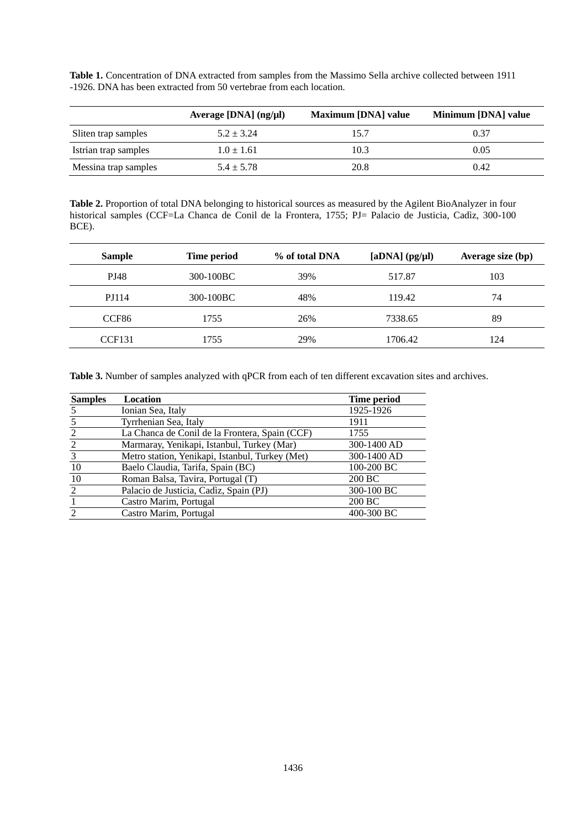**Table 1.** Concentration of DNA extracted from samples from the Massimo Sella archive collected between 1911 -1926. DNA has been extracted from 50 vertebrae from each location.

|                      | Average [ $DNA$ ] ( $ng/µ$ ]) | <b>Maximum [DNA] value</b> | Minimum [DNA] value |
|----------------------|-------------------------------|----------------------------|---------------------|
| Sliten trap samples  | $5.2 + 3.24$                  | 15.7                       | 0.37                |
| Istrian trap samples | $1.0 \pm 1.61$                | 10.3                       | 0.05                |
| Messina trap samples | $5.4 \pm 5.78$                | 20.8                       | 0.42                |

**Table 2.** Proportion of total DNA belonging to historical sources as measured by the Agilent BioAnalyzer in four historical samples (CCF=La Chanca de Conil de la Frontera, 1755; PJ= Palacio de Justicia, Cadìz, 300-100 BCE).

| Time period | % of total DNA | $[aDNA]$ (pg/ $\mu$ l) | Average size (bp) |  |
|-------------|----------------|------------------------|-------------------|--|
| 300-100BC   | 39%            | 517.87                 | 103               |  |
| 300-100BC   | 48%            | 119.42                 | 74                |  |
| 1755        | 26%            | 7338.65                | 89                |  |
| 1755        | 29%            | 1706.42                | 124               |  |
|             |                |                        |                   |  |

**Table 3.** Number of samples analyzed with qPCR from each of ten different excavation sites and archives.

| <b>Samples</b> | Location                                        | Time period |
|----------------|-------------------------------------------------|-------------|
|                | Ionian Sea, Italy                               | 1925-1926   |
|                | Tyrrhenian Sea, Italy                           | 1911        |
| 2              | La Chanca de Conil de la Frontera, Spain (CCF)  | 1755        |
| 2              | Marmaray, Yenikapi, Istanbul, Turkey (Mar)      | 300-1400 AD |
| 3              | Metro station, Yenikapi, Istanbul, Turkey (Met) | 300-1400 AD |
| 10             | Baelo Claudia, Tarifa, Spain (BC)               | 100-200 BC  |
| 10             | Roman Balsa, Tavira, Portugal (T)               | 200 BC      |
| 2              | Palacio de Justicia, Cadìz, Spain (PJ)          | 300-100 BC  |
|                | Castro Marim, Portugal                          | 200 BC      |
| ∍              | Castro Marim, Portugal                          | 400-300 BC  |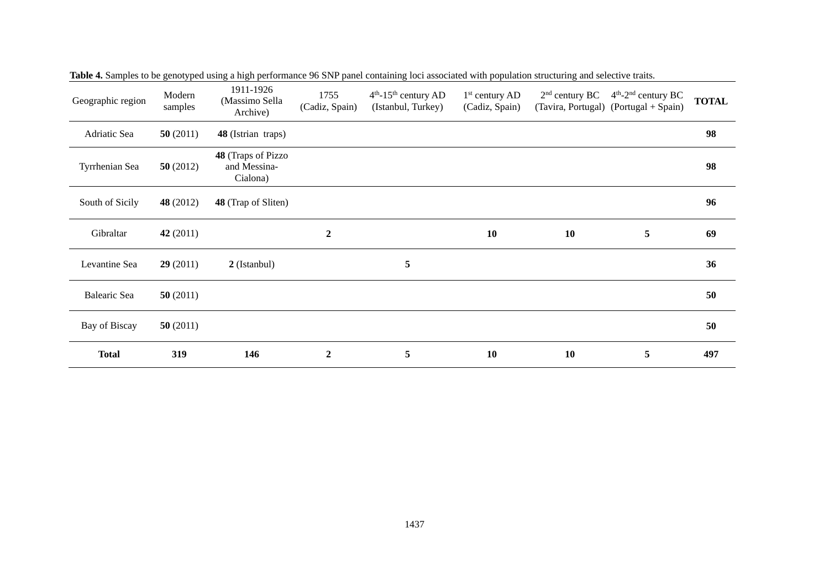| Geographic region | Modern<br>samples | 1911-1926<br>(Massimo Sella<br>Archive)               | 1755<br>(Cadiz, Spain) | $4th$ -15 <sup>th</sup> century AD<br>(Istanbul, Turkey) | $1st$ century AD<br>(Cadiz, Spain) | $2nd$ century BC | $4th$ -2 <sup>nd</sup> century BC<br>(Tavira, Portugal) (Portugal + Spain) | <b>TOTAL</b> |
|-------------------|-------------------|-------------------------------------------------------|------------------------|----------------------------------------------------------|------------------------------------|------------------|----------------------------------------------------------------------------|--------------|
| Adriatic Sea      | 50(2011)          | 48 (Istrian traps)                                    |                        |                                                          |                                    |                  |                                                                            | 98           |
| Tyrrhenian Sea    | 50(2012)          | <b>48</b> (Traps of Pizzo<br>and Messina-<br>Cialona) |                        |                                                          |                                    |                  |                                                                            | 98           |
| South of Sicily   | 48 (2012)         | 48 (Trap of Sliten)                                   |                        |                                                          |                                    |                  |                                                                            | 96           |
| Gibraltar         | 42 (2011)         |                                                       | $\boldsymbol{2}$       |                                                          | 10                                 | 10               | 5                                                                          | 69           |
| Levantine Sea     | 29(2011)          | 2 (Istanbul)                                          |                        | 5                                                        |                                    |                  |                                                                            | 36           |
| Balearic Sea      | 50(2011)          |                                                       |                        |                                                          |                                    |                  |                                                                            | 50           |
| Bay of Biscay     | 50(2011)          |                                                       |                        |                                                          |                                    |                  |                                                                            | 50           |
| <b>Total</b>      | 319               | 146                                                   | $\boldsymbol{2}$       | 5                                                        | 10                                 | 10               | 5                                                                          | 497          |

**Table 4.** Samples to be genotyped using a high performance 96 SNP panel containing loci associated with population structuring and selective traits.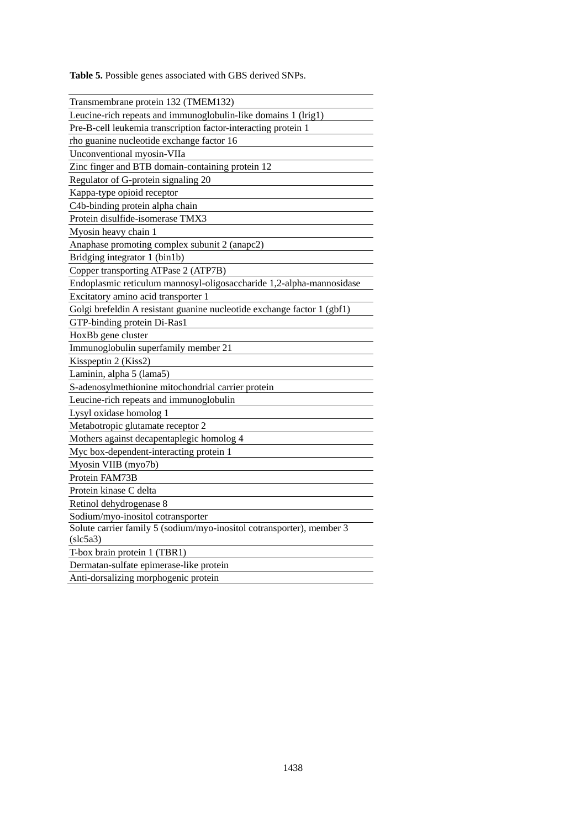**Table 5.** Possible genes associated with GBS derived SNPs.

| Transmembrane protein 132 (TMEM132)                                     |
|-------------------------------------------------------------------------|
| Leucine-rich repeats and immunoglobulin-like domains 1 (lrig1)          |
| Pre-B-cell leukemia transcription factor-interacting protein 1          |
| rho guanine nucleotide exchange factor 16                               |
| Unconventional myosin-VIIa                                              |
| Zinc finger and BTB domain-containing protein 12                        |
| Regulator of G-protein signaling 20                                     |
| Kappa-type opioid receptor                                              |
| C4b-binding protein alpha chain                                         |
| Protein disulfide-isomerase TMX3                                        |
| Myosin heavy chain 1                                                    |
| Anaphase promoting complex subunit 2 (anapc2)                           |
| Bridging integrator 1 (bin1b)                                           |
| Copper transporting ATPase 2 (ATP7B)                                    |
| Endoplasmic reticulum mannosyl-oligosaccharide 1,2-alpha-mannosidase    |
| Excitatory amino acid transporter 1                                     |
| Golgi brefeldin A resistant guanine nucleotide exchange factor 1 (gbf1) |
| GTP-binding protein Di-Ras1                                             |
| HoxBb gene cluster                                                      |
| Immunoglobulin superfamily member 21                                    |
| Kisspeptin 2 (Kiss2)                                                    |
| Laminin, alpha 5 (lama5)                                                |
| S-adenosylmethionine mitochondrial carrier protein                      |
| Leucine-rich repeats and immunoglobulin                                 |
| Lysyl oxidase homolog 1                                                 |
| Metabotropic glutamate receptor 2                                       |
| Mothers against decapentaplegic homolog 4                               |
| Myc box-dependent-interacting protein 1                                 |
| Myosin VIIB (myo7b)                                                     |
| Protein FAM73B                                                          |
| Protein kinase C delta                                                  |
| Retinol dehydrogenase 8                                                 |
| Sodium/myo-inositol cotransporter                                       |
| Solute carrier family 5 (sodium/myo-inositol cotransporter), member 3   |
| (slc5a3)                                                                |
| T-box brain protein 1 (TBR1)                                            |
| Dermatan-sulfate epimerase-like protein                                 |
| Anti-dorsalizing morphogenic protein                                    |